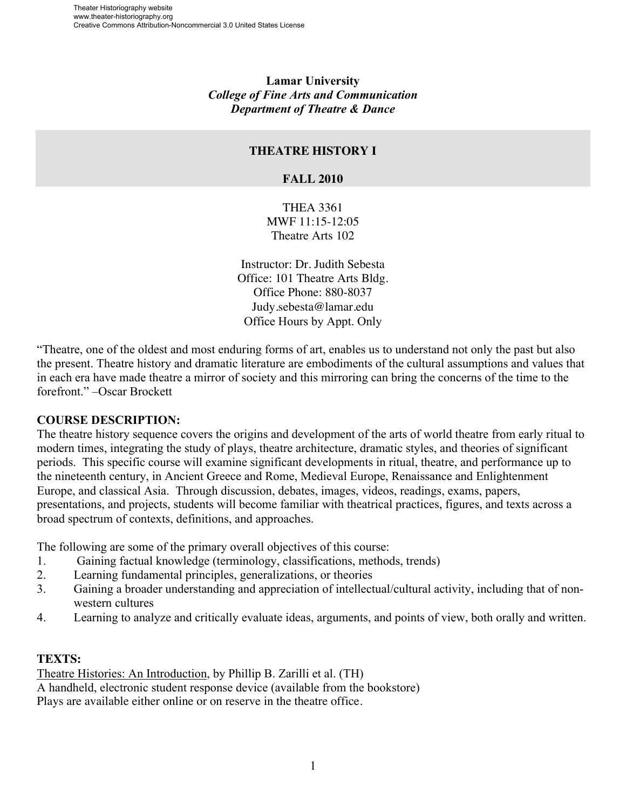**Lamar University** *College of Fine Arts and Communication Department of Theatre & Dance*

#### **THEATRE HISTORY I**

#### **FALL 2010**

THEA 3361 MWF 11:15-12:05 Theatre Arts 102

Instructor: Dr. Judith Sebesta Office: 101 Theatre Arts Bldg. Office Phone: 880-8037 Judy.sebesta@lamar.edu Office Hours by Appt. Only

"Theatre, one of the oldest and most enduring forms of art, enables us to understand not only the past but also the present. Theatre history and dramatic literature are embodiments of the cultural assumptions and values that in each era have made theatre a mirror of society and this mirroring can bring the concerns of the time to the forefront." –Oscar Brockett

### **COURSE DESCRIPTION:**

The theatre history sequence covers the origins and development of the arts of world theatre from early ritual to modern times, integrating the study of plays, theatre architecture, dramatic styles, and theories of significant periods. This specific course will examine significant developments in ritual, theatre, and performance up to the nineteenth century, in Ancient Greece and Rome, Medieval Europe, Renaissance and Enlightenment Europe, and classical Asia. Through discussion, debates, images, videos, readings, exams, papers, presentations, and projects, students will become familiar with theatrical practices, figures, and texts across a broad spectrum of contexts, definitions, and approaches.

The following are some of the primary overall objectives of this course:

- 1. Gaining factual knowledge (terminology, classifications, methods, trends)
- 2. Learning fundamental principles, generalizations, or theories
- 3. Gaining a broader understanding and appreciation of intellectual/cultural activity, including that of nonwestern cultures
- 4. Learning to analyze and critically evaluate ideas, arguments, and points of view, both orally and written.

### **TEXTS:**

Theatre Histories: An Introduction, by Phillip B. Zarilli et al. (TH) A handheld, electronic student response device (available from the bookstore) Plays are available either online or on reserve in the theatre office.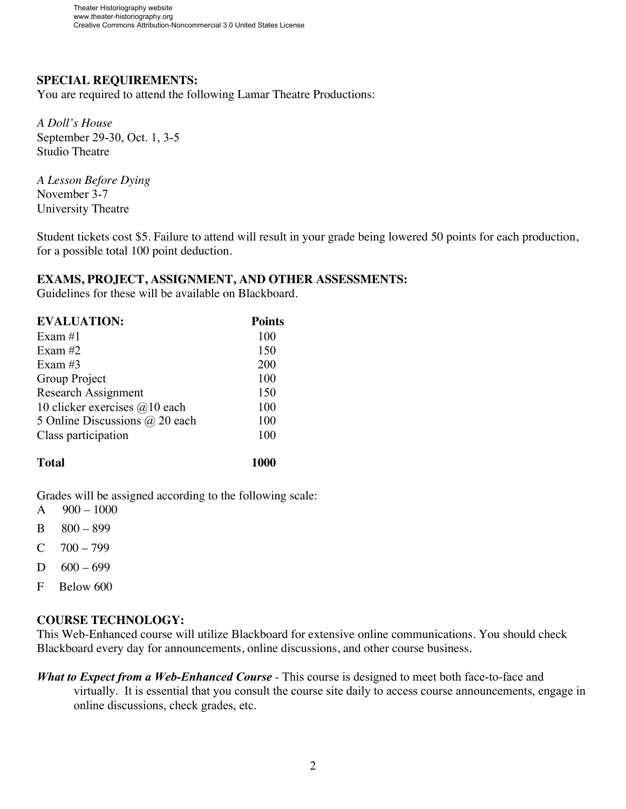## **SPECIAL REQUIREMENTS:**

You are required to attend the following Lamar Theatre Productions:

*A Doll's House* September 29-30, Oct. 1, 3-5 Studio Theatre

*A Lesson Before Dying* November 3-7 University Theatre

Student tickets cost \$5. Failure to attend will result in your grade being lowered 50 points for each production, for a possible total 100 point deduction.

#### **EXAMS, PROJECT, ASSIGNMENT, AND OTHER ASSESSMENTS:**

Guidelines for these will be available on Blackboard.

| <b>EVALUATION:</b>             | <b>Points</b> |
|--------------------------------|---------------|
| Exam $#1$                      | 100           |
| Exam $#2$                      | 150           |
| Exam $#3$                      | 200           |
| Group Project                  | 100           |
| <b>Research Assignment</b>     | 150           |
| 10 clicker exercises @10 each  | 100           |
| 5 Online Discussions @ 20 each | 100           |
| Class participation            | 100           |
|                                |               |

**Total 1000**

Grades will be assigned according to the following scale:

- A  $900 1000$
- B 800 899
- $C = 700 799$
- D  $600 699$
- F Below 600

### **COURSE TECHNOLOGY:**

This Web-Enhanced course will utilize Blackboard for extensive online communications. You should check Blackboard every day for announcements, online discussions, and other course business.

*What to Expect from a Web-Enhanced Course -* This course is designed to meet both face-to-face and virtually. It is essential that you consult the course site daily to access course announcements, engage in online discussions, check grades, etc.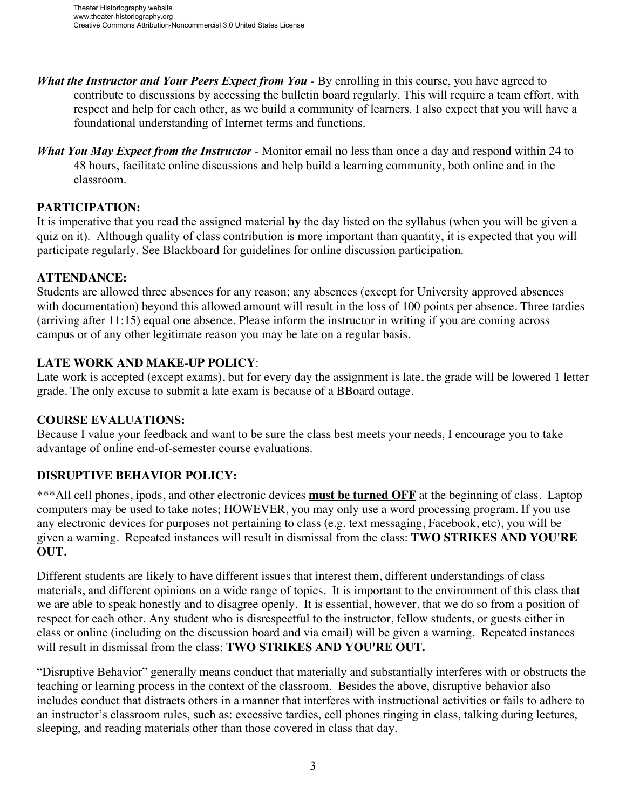- *What the Instructor and Your Peers Expect from You -* By enrolling in this course, you have agreed to contribute to discussions by accessing the bulletin board regularly. This will require a team effort, with respect and help for each other, as we build a community of learners. I also expect that you will have a foundational understanding of Internet terms and functions.
- *What You May Expect from the Instructor*  Monitor email no less than once a day and respond within 24 to 48 hours, facilitate online discussions and help build a learning community, both online and in the classroom.

## **PARTICIPATION:**

It is imperative that you read the assigned material **by** the day listed on the syllabus (when you will be given a quiz on it). Although quality of class contribution is more important than quantity, it is expected that you will participate regularly. See Blackboard for guidelines for online discussion participation.

## **ATTENDANCE:**

Students are allowed three absences for any reason; any absences (except for University approved absences with documentation) beyond this allowed amount will result in the loss of 100 points per absence. Three tardies (arriving after 11:15) equal one absence. Please inform the instructor in writing if you are coming across campus or of any other legitimate reason you may be late on a regular basis.

## **LATE WORK AND MAKE-UP POLICY**:

Late work is accepted (except exams), but for every day the assignment is late, the grade will be lowered 1 letter grade. The only excuse to submit a late exam is because of a BBoard outage.

### **COURSE EVALUATIONS:**

Because I value your feedback and want to be sure the class best meets your needs, I encourage you to take advantage of online end-of-semester course evaluations.

# **DISRUPTIVE BEHAVIOR POLICY:**

\*\*\*All cell phones, ipods, and other electronic devices **must be turned OFF** at the beginning of class. Laptop computers may be used to take notes; HOWEVER, you may only use a word processing program. If you use any electronic devices for purposes not pertaining to class (e.g. text messaging, Facebook, etc), you will be given a warning. Repeated instances will result in dismissal from the class: **TWO STRIKES AND YOU'RE OUT.**

Different students are likely to have different issues that interest them, different understandings of class materials, and different opinions on a wide range of topics. It is important to the environment of this class that we are able to speak honestly and to disagree openly. It is essential, however, that we do so from a position of respect for each other. Any student who is disrespectful to the instructor, fellow students, or guests either in class or online (including on the discussion board and via email) will be given a warning. Repeated instances will result in dismissal from the class: **TWO STRIKES AND YOU'RE OUT.**

"Disruptive Behavior" generally means conduct that materially and substantially interferes with or obstructs the teaching or learning process in the context of the classroom. Besides the above, disruptive behavior also includes conduct that distracts others in a manner that interferes with instructional activities or fails to adhere to an instructor's classroom rules, such as: excessive tardies, cell phones ringing in class, talking during lectures, sleeping, and reading materials other than those covered in class that day.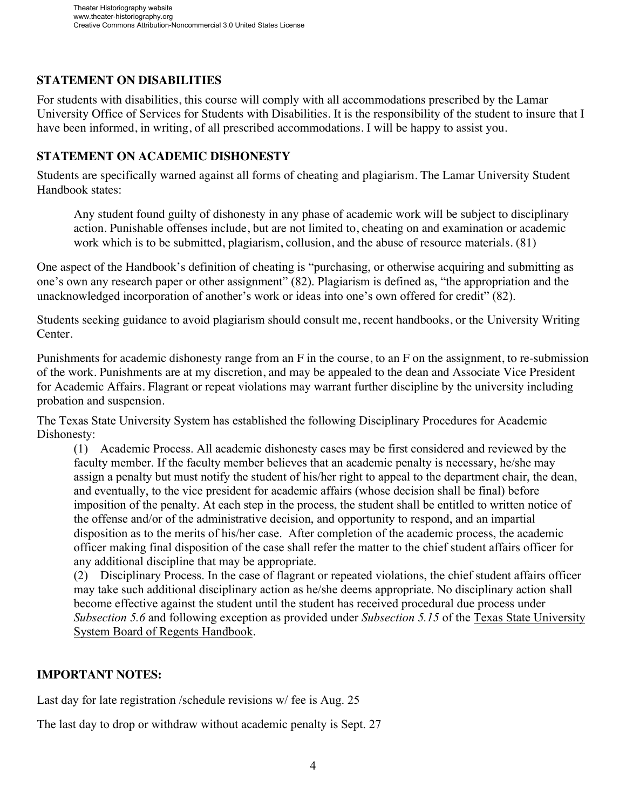## **STATEMENT ON DISABILITIES**

For students with disabilities, this course will comply with all accommodations prescribed by the Lamar University Office of Services for Students with Disabilities. It is the responsibility of the student to insure that I have been informed, in writing, of all prescribed accommodations. I will be happy to assist you.

### **STATEMENT ON ACADEMIC DISHONESTY**

Students are specifically warned against all forms of cheating and plagiarism. The Lamar University Student Handbook states:

Any student found guilty of dishonesty in any phase of academic work will be subject to disciplinary action. Punishable offenses include, but are not limited to, cheating on and examination or academic work which is to be submitted, plagiarism, collusion, and the abuse of resource materials. (81)

One aspect of the Handbook's definition of cheating is "purchasing, or otherwise acquiring and submitting as one's own any research paper or other assignment" (82). Plagiarism is defined as, "the appropriation and the unacknowledged incorporation of another's work or ideas into one's own offered for credit" (82).

Students seeking guidance to avoid plagiarism should consult me, recent handbooks, or the University Writing Center.

Punishments for academic dishonesty range from an F in the course, to an F on the assignment, to re-submission of the work. Punishments are at my discretion, and may be appealed to the dean and Associate Vice President for Academic Affairs. Flagrant or repeat violations may warrant further discipline by the university including probation and suspension.

The Texas State University System has established the following Disciplinary Procedures for Academic Dishonesty:

(1) Academic Process. All academic dishonesty cases may be first considered and reviewed by the faculty member. If the faculty member believes that an academic penalty is necessary, he/she may assign a penalty but must notify the student of his/her right to appeal to the department chair, the dean, and eventually, to the vice president for academic affairs (whose decision shall be final) before imposition of the penalty. At each step in the process, the student shall be entitled to written notice of the offense and/or of the administrative decision, and opportunity to respond, and an impartial disposition as to the merits of his/her case. After completion of the academic process, the academic officer making final disposition of the case shall refer the matter to the chief student affairs officer for any additional discipline that may be appropriate.

(2) Disciplinary Process. In the case of flagrant or repeated violations, the chief student affairs officer may take such additional disciplinary action as he/she deems appropriate. No disciplinary action shall become effective against the student until the student has received procedural due process under *Subsection 5.6* and following exception as provided under *Subsection 5.15* of the Texas State University System Board of Regents Handbook.

# **IMPORTANT NOTES:**

Last day for late registration /schedule revisions w/ fee is Aug. 25

The last day to drop or withdraw without academic penalty is Sept. 27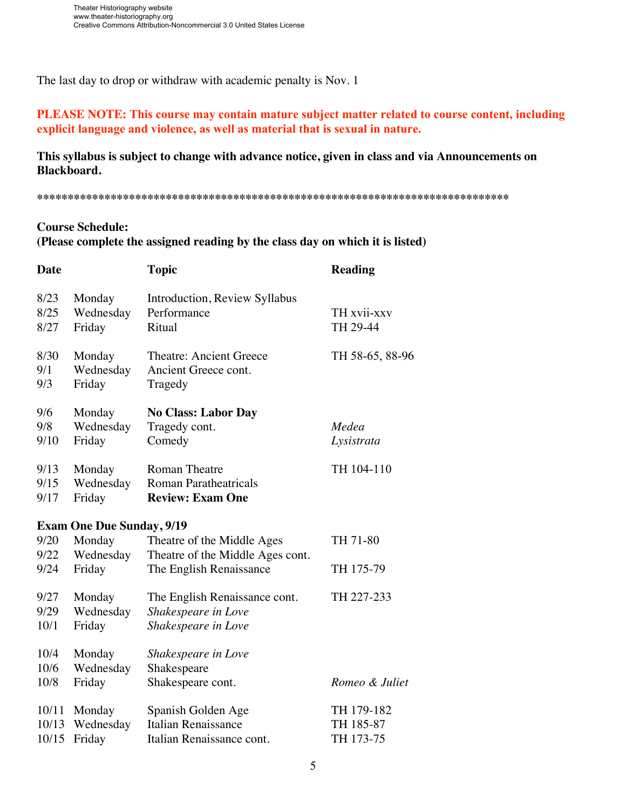The last day to drop or withdraw with academic penalty is Nov. 1

# **PLEASE NOTE: This course may contain mature subject matter related to course content, including explicit language and violence, as well as material that is sexual in nature.**

**This syllabus is subject to change with advance notice, given in class and via Announcements on Blackboard.** 

**\*\*\*\*\*\*\*\*\*\*\*\*\*\*\*\*\*\*\*\*\*\*\*\*\*\*\*\*\*\*\*\*\*\*\*\*\*\*\*\*\*\*\*\*\*\*\*\*\*\*\*\*\*\*\*\*\*\*\*\*\*\*\*\*\*\*\*\*\*\*\*\*\*\*\*\*\***

# **Course Schedule:**

**(Please complete the assigned reading by the class day on which it is listed)**

| <b>Date</b>          |                                  | <b>Topic</b>                                                                              | <b>Reading</b>          |
|----------------------|----------------------------------|-------------------------------------------------------------------------------------------|-------------------------|
| 8/23<br>8/25<br>8/27 | Monday<br>Wednesday<br>Friday    | Introduction, Review Syllabus<br>Performance<br>Ritual                                    | TH xvii-xxv<br>TH 29-44 |
| 8/30                 | Monday                           | <b>Theatre: Ancient Greece</b>                                                            | TH 58-65, 88-96         |
| 9/1                  | Wednesday                        | Ancient Greece cont.                                                                      |                         |
| 9/3                  | Friday                           | Tragedy                                                                                   |                         |
| 9/6<br>9/8<br>9/10   | Monday<br>Wednesday<br>Friday    | <b>No Class: Labor Day</b><br>Tragedy cont.<br>Comedy                                     | Medea<br>Lysistrata     |
| 9/13                 | Monday                           | <b>Roman Theatre</b>                                                                      | TH 104-110              |
| 9/15                 | Wednesday                        | <b>Roman Paratheatricals</b>                                                              |                         |
| 9/17                 | Friday                           | <b>Review: Exam One</b>                                                                   |                         |
|                      | <b>Exam One Due Sunday, 9/19</b> |                                                                                           |                         |
| 9/20<br>9/22<br>9/24 | Monday<br>Wednesday<br>Friday    | Theatre of the Middle Ages<br>Theatre of the Middle Ages cont.<br>The English Renaissance | TH 71-80<br>TH 175-79   |
| 9/27                 | Monday                           | The English Renaissance cont.                                                             | TH 227-233              |
| 9/29                 | Wednesday                        | Shakespeare in Love                                                                       |                         |
| 10/1                 | Friday                           | Shakespeare in Love                                                                       |                         |
| 10/4                 | Monday                           | Shakespeare in Love                                                                       | Romeo & Juliet          |
| 10/6                 | Wednesday                        | Shakespeare                                                                               |                         |
| 10/8                 | Friday                           | Shakespeare cont.                                                                         |                         |
| 10/11                | Monday                           | Spanish Golden Age                                                                        | TH 179-182              |
| 10/13                | Wednesday                        | Italian Renaissance                                                                       | TH 185-87               |
| 10/15                | Friday                           | Italian Renaissance cont.                                                                 | TH 173-75               |